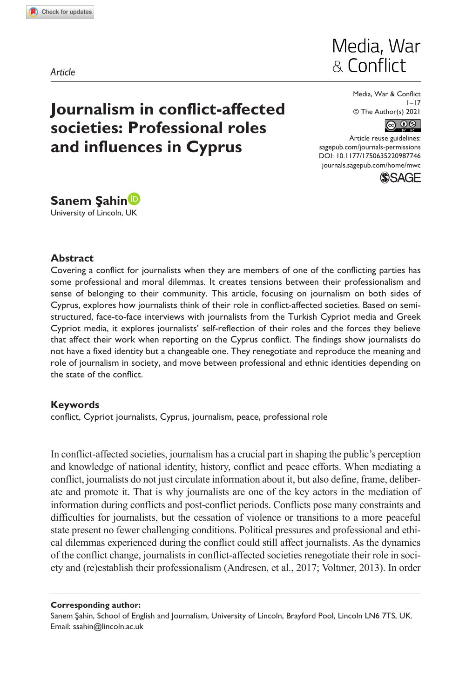**9877[46](http://crossmark.crossref.org/dialog/?doi=10.1177%2F1750635220987746&domain=pdf&date_stamp=2021-01-09)** MWC0010.1177/1750635220987746Media, War & Conflict**Şahin**

*Article*

# Media, War & Conflict

# **Journalism in conflict-affected societies: Professional roles and influences in Cyprus**

Media, War & Conflict  $1 - 17$ © The Author(s) 2021



Article reuse guidelines: [sagepub.com/journals-permissions](https://uk.sagepub.com/en-gb/journals-permissions) DOI: 10.1177/1750635220987746 [journals.sagepub.com/home/mwc](https://journals.sagepub.com/home/mwc)





### **Abstract**

Covering a conflict for journalists when they are members of one of the conflicting parties has some professional and moral dilemmas. It creates tensions between their professionalism and sense of belonging to their community. This article, focusing on journalism on both sides of Cyprus, explores how journalists think of their role in conflict-affected societies. Based on semistructured, face-to-face interviews with journalists from the Turkish Cypriot media and Greek Cypriot media, it explores journalists' self-reflection of their roles and the forces they believe that affect their work when reporting on the Cyprus conflict. The findings show journalists do not have a fixed identity but a changeable one. They renegotiate and reproduce the meaning and role of journalism in society, and move between professional and ethnic identities depending on the state of the conflict.

## **Keywords**

conflict, Cypriot journalists, Cyprus, journalism, peace, professional role

In conflict-affected societies, journalism has a crucial part in shaping the public's perception and knowledge of national identity, history, conflict and peace efforts. When mediating a conflict, journalists do not just circulate information about it, but also define, frame, deliberate and promote it. That is why journalists are one of the key actors in the mediation of information during conflicts and post-conflict periods. Conflicts pose many constraints and difficulties for journalists, but the cessation of violence or transitions to a more peaceful state present no fewer challenging conditions. Political pressures and professional and ethical dilemmas experienced during the conflict could still affect journalists. As the dynamics of the conflict change, journalists in conflict-affected societies renegotiate their role in society and (re)establish their professionalism (Andresen, et al., 2017; Voltmer, 2013). In order

#### **Corresponding author:**

Sanem Şahin, School of English and Journalism, University of Lincoln, Brayford Pool, Lincoln LN6 7TS, UK. Email: [ssahin@lincoln.ac.uk](mailto:ssahin@lincoln.ac.uk)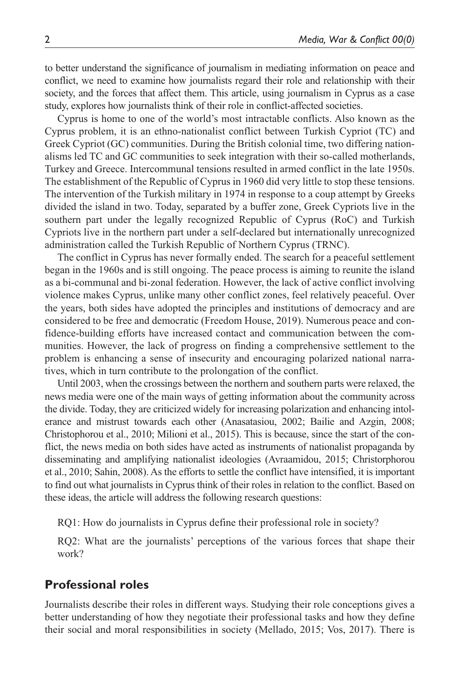to better understand the significance of journalism in mediating information on peace and conflict, we need to examine how journalists regard their role and relationship with their society, and the forces that affect them. This article, using journalism in Cyprus as a case study, explores how journalists think of their role in conflict-affected societies.

Cyprus is home to one of the world's most intractable conflicts. Also known as the Cyprus problem, it is an ethno-nationalist conflict between Turkish Cypriot (TC) and Greek Cypriot (GC) communities. During the British colonial time, two differing nationalisms led TC and GC communities to seek integration with their so-called motherlands, Turkey and Greece. Intercommunal tensions resulted in armed conflict in the late 1950s. The establishment of the Republic of Cyprus in 1960 did very little to stop these tensions. The intervention of the Turkish military in 1974 in response to a coup attempt by Greeks divided the island in two. Today, separated by a buffer zone, Greek Cypriots live in the southern part under the legally recognized Republic of Cyprus (RoC) and Turkish Cypriots live in the northern part under a self-declared but internationally unrecognized administration called the Turkish Republic of Northern Cyprus (TRNC).

The conflict in Cyprus has never formally ended. The search for a peaceful settlement began in the 1960s and is still ongoing. The peace process is aiming to reunite the island as a bi-communal and bi-zonal federation. However, the lack of active conflict involving violence makes Cyprus, unlike many other conflict zones, feel relatively peaceful. Over the years, both sides have adopted the principles and institutions of democracy and are considered to be free and democratic (Freedom House, 2019). Numerous peace and confidence-building efforts have increased contact and communication between the communities. However, the lack of progress on finding a comprehensive settlement to the problem is enhancing a sense of insecurity and encouraging polarized national narratives, which in turn contribute to the prolongation of the conflict.

Until 2003, when the crossings between the northern and southern parts were relaxed, the news media were one of the main ways of getting information about the community across the divide. Today, they are criticized widely for increasing polarization and enhancing intolerance and mistrust towards each other (Anasatasiou, 2002; Bailie and Azgin, 2008; Christophorou et al., 2010; Milioni et al., 2015). This is because, since the start of the conflict, the news media on both sides have acted as instruments of nationalist propaganda by disseminating and amplifying nationalist ideologies (Avraamidou, 2015; Christorphorou et al., 2010; Sahin, 2008). As the efforts to settle the conflict have intensified, it is important to find out what journalists in Cyprus think of their roles in relation to the conflict. Based on these ideas, the article will address the following research questions:

RQ1: How do journalists in Cyprus define their professional role in society?

RQ2: What are the journalists' perceptions of the various forces that shape their work?

### **Professional roles**

Journalists describe their roles in different ways. Studying their role conceptions gives a better understanding of how they negotiate their professional tasks and how they define their social and moral responsibilities in society (Mellado, 2015; Vos, 2017). There is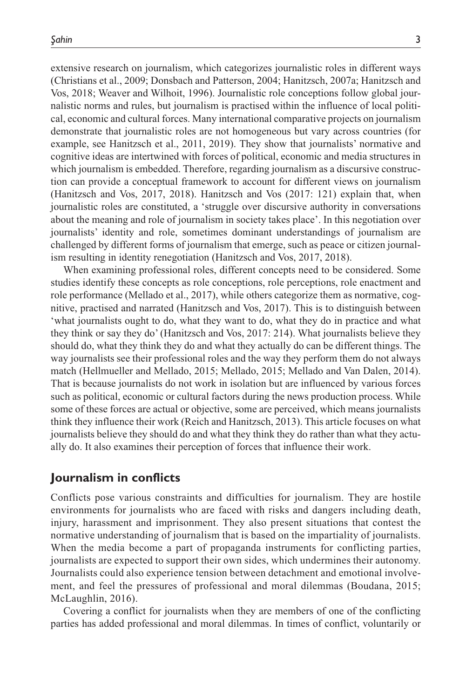extensive research on journalism, which categorizes journalistic roles in different ways (Christians et al., 2009; Donsbach and Patterson, 2004; Hanitzsch, 2007a; Hanitzsch and Vos, 2018; Weaver and Wilhoit, 1996). Journalistic role conceptions follow global journalistic norms and rules, but journalism is practised within the influence of local political, economic and cultural forces. Many international comparative projects on journalism demonstrate that journalistic roles are not homogeneous but vary across countries (for example, see Hanitzsch et al., 2011, 2019). They show that journalists' normative and cognitive ideas are intertwined with forces of political, economic and media structures in which journalism is embedded. Therefore, regarding journalism as a discursive construction can provide a conceptual framework to account for different views on journalism (Hanitzsch and Vos, 2017, 2018). Hanitzsch and Vos (2017: 121) explain that, when journalistic roles are constituted, a 'struggle over discursive authority in conversations about the meaning and role of journalism in society takes place'. In this negotiation over journalists' identity and role, sometimes dominant understandings of journalism are challenged by different forms of journalism that emerge, such as peace or citizen journalism resulting in identity renegotiation (Hanitzsch and Vos, 2017, 2018).

When examining professional roles, different concepts need to be considered. Some studies identify these concepts as role conceptions, role perceptions, role enactment and role performance (Mellado et al., 2017), while others categorize them as normative, cognitive, practised and narrated (Hanitzsch and Vos, 2017). This is to distinguish between 'what journalists ought to do, what they want to do, what they do in practice and what they think or say they do' (Hanitzsch and Vos, 2017: 214). What journalists believe they should do, what they think they do and what they actually do can be different things. The way journalists see their professional roles and the way they perform them do not always match (Hellmueller and Mellado, 2015; Mellado, 2015; Mellado and Van Dalen, 2014). That is because journalists do not work in isolation but are influenced by various forces such as political, economic or cultural factors during the news production process. While some of these forces are actual or objective, some are perceived, which means journalists think they influence their work (Reich and Hanitzsch, 2013). This article focuses on what journalists believe they should do and what they think they do rather than what they actually do. It also examines their perception of forces that influence their work.

## **Journalism in conflicts**

Conflicts pose various constraints and difficulties for journalism. They are hostile environments for journalists who are faced with risks and dangers including death, injury, harassment and imprisonment. They also present situations that contest the normative understanding of journalism that is based on the impartiality of journalists. When the media become a part of propaganda instruments for conflicting parties, journalists are expected to support their own sides, which undermines their autonomy. Journalists could also experience tension between detachment and emotional involvement, and feel the pressures of professional and moral dilemmas (Boudana, 2015; McLaughlin, 2016).

Covering a conflict for journalists when they are members of one of the conflicting parties has added professional and moral dilemmas. In times of conflict, voluntarily or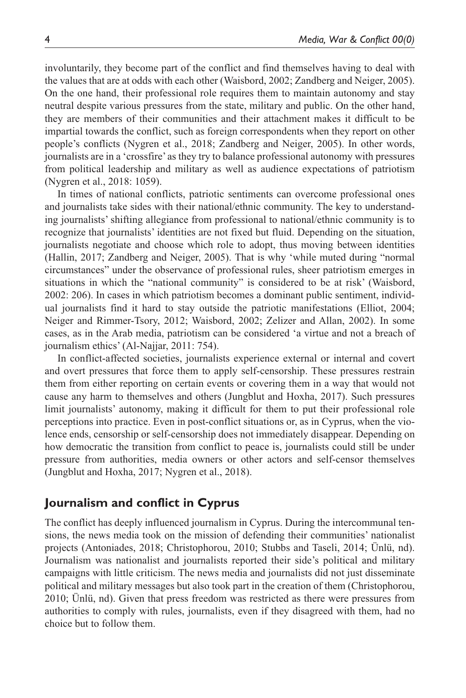involuntarily, they become part of the conflict and find themselves having to deal with the values that are at odds with each other (Waisbord, 2002; Zandberg and Neiger, 2005). On the one hand, their professional role requires them to maintain autonomy and stay neutral despite various pressures from the state, military and public. On the other hand, they are members of their communities and their attachment makes it difficult to be impartial towards the conflict, such as foreign correspondents when they report on other people's conflicts (Nygren et al., 2018; Zandberg and Neiger, 2005). In other words, journalists are in a 'crossfire' as they try to balance professional autonomy with pressures from political leadership and military as well as audience expectations of patriotism (Nygren et al., 2018: 1059).

In times of national conflicts, patriotic sentiments can overcome professional ones and journalists take sides with their national/ethnic community. The key to understanding journalists' shifting allegiance from professional to national/ethnic community is to recognize that journalists' identities are not fixed but fluid. Depending on the situation, journalists negotiate and choose which role to adopt, thus moving between identities (Hallin, 2017; Zandberg and Neiger, 2005). That is why 'while muted during "normal circumstances" under the observance of professional rules, sheer patriotism emerges in situations in which the "national community" is considered to be at risk' (Waisbord, 2002: 206). In cases in which patriotism becomes a dominant public sentiment, individual journalists find it hard to stay outside the patriotic manifestations (Elliot, 2004; Neiger and Rimmer-Tsory, 2012; Waisbord, 2002; Zelizer and Allan, 2002). In some cases, as in the Arab media, patriotism can be considered 'a virtue and not a breach of journalism ethics' (Al-Najjar, 2011: 754).

In conflict-affected societies, journalists experience external or internal and covert and overt pressures that force them to apply self-censorship. These pressures restrain them from either reporting on certain events or covering them in a way that would not cause any harm to themselves and others (Jungblut and Hoxha, 2017). Such pressures limit journalists' autonomy, making it difficult for them to put their professional role perceptions into practice. Even in post-conflict situations or, as in Cyprus, when the violence ends, censorship or self-censorship does not immediately disappear. Depending on how democratic the transition from conflict to peace is, journalists could still be under pressure from authorities, media owners or other actors and self-censor themselves (Jungblut and Hoxha, 2017; Nygren et al., 2018).

## **Journalism and conflict in Cyprus**

The conflict has deeply influenced journalism in Cyprus. During the intercommunal tensions, the news media took on the mission of defending their communities' nationalist projects (Antoniades, 2018; Christophorou, 2010; Stubbs and Taseli, 2014; Ünlü, nd). Journalism was nationalist and journalists reported their side's political and military campaigns with little criticism. The news media and journalists did not just disseminate political and military messages but also took part in the creation of them (Christophorou, 2010; Ünlü, nd). Given that press freedom was restricted as there were pressures from authorities to comply with rules, journalists, even if they disagreed with them, had no choice but to follow them.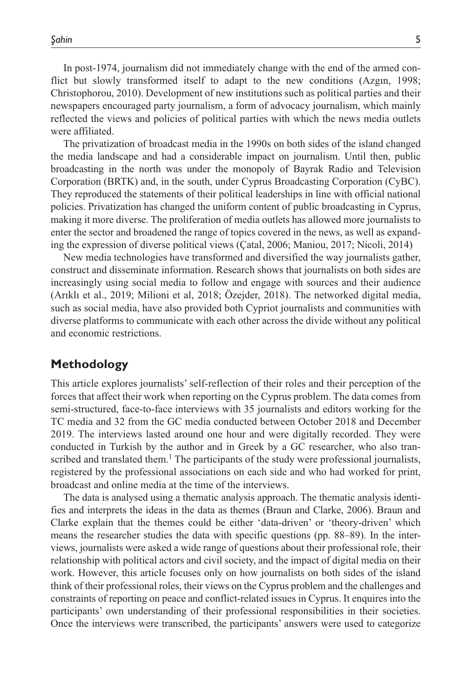In post-1974, journalism did not immediately change with the end of the armed conflict but slowly transformed itself to adapt to the new conditions (Azgın, 1998; Christophorou, 2010). Development of new institutions such as political parties and their newspapers encouraged party journalism, a form of advocacy journalism, which mainly reflected the views and policies of political parties with which the news media outlets were affiliated.

The privatization of broadcast media in the 1990s on both sides of the island changed the media landscape and had a considerable impact on journalism. Until then, public broadcasting in the north was under the monopoly of Bayrak Radio and Television Corporation (BRTK) and, in the south, under Cyprus Broadcasting Corporation (CyBC). They reproduced the statements of their political leaderships in line with official national policies. Privatization has changed the uniform content of public broadcasting in Cyprus, making it more diverse. The proliferation of media outlets has allowed more journalists to enter the sector and broadened the range of topics covered in the news, as well as expanding the expression of diverse political views (Çatal, 2006; Maniou, 2017; Nicoli, 2014)

New media technologies have transformed and diversified the way journalists gather, construct and disseminate information. Research shows that journalists on both sides are increasingly using social media to follow and engage with sources and their audience (Arıklı et al., 2019; Milioni et al, 2018; Özejder, 2018). The networked digital media, such as social media, have also provided both Cypriot journalists and communities with diverse platforms to communicate with each other across the divide without any political and economic restrictions.

## **Methodology**

This article explores journalists' self-reflection of their roles and their perception of the forces that affect their work when reporting on the Cyprus problem. The data comes from semi-structured, face-to-face interviews with 35 journalists and editors working for the TC media and 32 from the GC media conducted between October 2018 and December 2019. The interviews lasted around one hour and were digitally recorded. They were conducted in Turkish by the author and in Greek by a GC researcher, who also transcribed and translated them.<sup>1</sup> The participants of the study were professional journalists, registered by the professional associations on each side and who had worked for print, broadcast and online media at the time of the interviews.

The data is analysed using a thematic analysis approach. The thematic analysis identifies and interprets the ideas in the data as themes (Braun and Clarke, 2006). Braun and Clarke explain that the themes could be either 'data-driven' or 'theory-driven' which means the researcher studies the data with specific questions (pp. 88–89). In the interviews, journalists were asked a wide range of questions about their professional role, their relationship with political actors and civil society, and the impact of digital media on their work. However, this article focuses only on how journalists on both sides of the island think of their professional roles, their views on the Cyprus problem and the challenges and constraints of reporting on peace and conflict-related issues in Cyprus. It enquires into the participants' own understanding of their professional responsibilities in their societies. Once the interviews were transcribed, the participants' answers were used to categorize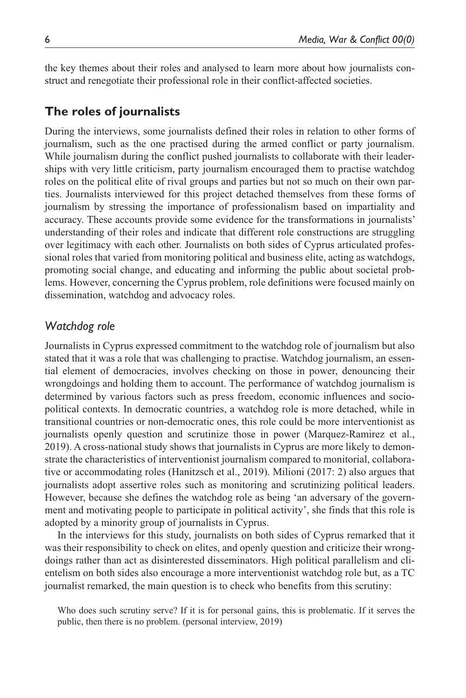the key themes about their roles and analysed to learn more about how journalists construct and renegotiate their professional role in their conflict-affected societies.

# **The roles of journalists**

During the interviews, some journalists defined their roles in relation to other forms of journalism, such as the one practised during the armed conflict or party journalism. While journalism during the conflict pushed journalists to collaborate with their leaderships with very little criticism, party journalism encouraged them to practise watchdog roles on the political elite of rival groups and parties but not so much on their own parties. Journalists interviewed for this project detached themselves from these forms of journalism by stressing the importance of professionalism based on impartiality and accuracy. These accounts provide some evidence for the transformations in journalists' understanding of their roles and indicate that different role constructions are struggling over legitimacy with each other. Journalists on both sides of Cyprus articulated professional roles that varied from monitoring political and business elite, acting as watchdogs, promoting social change, and educating and informing the public about societal problems. However, concerning the Cyprus problem, role definitions were focused mainly on dissemination, watchdog and advocacy roles.

## *Watchdog role*

Journalists in Cyprus expressed commitment to the watchdog role of journalism but also stated that it was a role that was challenging to practise. Watchdog journalism, an essential element of democracies, involves checking on those in power, denouncing their wrongdoings and holding them to account. The performance of watchdog journalism is determined by various factors such as press freedom, economic influences and sociopolitical contexts. In democratic countries, a watchdog role is more detached, while in transitional countries or non-democratic ones, this role could be more interventionist as journalists openly question and scrutinize those in power (Marquez-Ramirez et al., 2019). A cross-national study shows that journalists in Cyprus are more likely to demonstrate the characteristics of interventionist journalism compared to monitorial, collaborative or accommodating roles (Hanitzsch et al., 2019). Milioni (2017: 2) also argues that journalists adopt assertive roles such as monitoring and scrutinizing political leaders. However, because she defines the watchdog role as being 'an adversary of the government and motivating people to participate in political activity', she finds that this role is adopted by a minority group of journalists in Cyprus.

In the interviews for this study, journalists on both sides of Cyprus remarked that it was their responsibility to check on elites, and openly question and criticize their wrongdoings rather than act as disinterested disseminators. High political parallelism and clientelism on both sides also encourage a more interventionist watchdog role but, as a TC journalist remarked, the main question is to check who benefits from this scrutiny:

Who does such scrutiny serve? If it is for personal gains, this is problematic. If it serves the public, then there is no problem. (personal interview, 2019)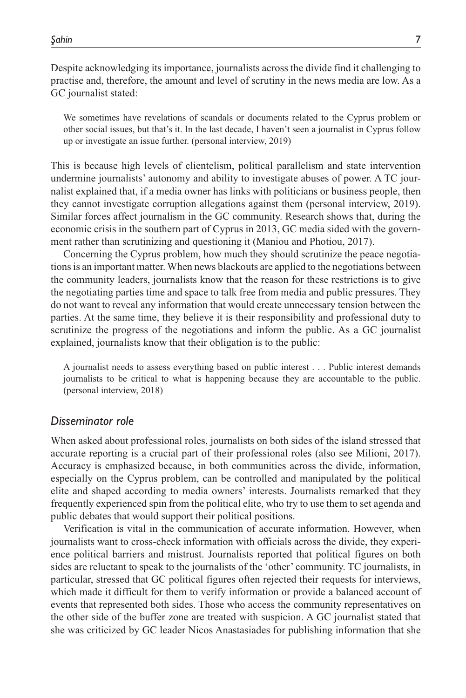Despite acknowledging its importance, journalists across the divide find it challenging to practise and, therefore, the amount and level of scrutiny in the news media are low. As a GC journalist stated:

We sometimes have revelations of scandals or documents related to the Cyprus problem or other social issues, but that's it. In the last decade, I haven't seen a journalist in Cyprus follow up or investigate an issue further. (personal interview, 2019)

This is because high levels of clientelism, political parallelism and state intervention undermine journalists' autonomy and ability to investigate abuses of power. A TC journalist explained that, if a media owner has links with politicians or business people, then they cannot investigate corruption allegations against them (personal interview, 2019). Similar forces affect journalism in the GC community. Research shows that, during the economic crisis in the southern part of Cyprus in 2013, GC media sided with the government rather than scrutinizing and questioning it (Maniou and Photiou, 2017).

Concerning the Cyprus problem, how much they should scrutinize the peace negotiations is an important matter. When news blackouts are applied to the negotiations between the community leaders, journalists know that the reason for these restrictions is to give the negotiating parties time and space to talk free from media and public pressures. They do not want to reveal any information that would create unnecessary tension between the parties. At the same time, they believe it is their responsibility and professional duty to scrutinize the progress of the negotiations and inform the public. As a GC journalist explained, journalists know that their obligation is to the public:

A journalist needs to assess everything based on public interest . . . Public interest demands journalists to be critical to what is happening because they are accountable to the public. (personal interview, 2018)

#### *Disseminator role*

When asked about professional roles, journalists on both sides of the island stressed that accurate reporting is a crucial part of their professional roles (also see Milioni, 2017). Accuracy is emphasized because, in both communities across the divide, information, especially on the Cyprus problem, can be controlled and manipulated by the political elite and shaped according to media owners' interests. Journalists remarked that they frequently experienced spin from the political elite, who try to use them to set agenda and public debates that would support their political positions.

Verification is vital in the communication of accurate information. However, when journalists want to cross-check information with officials across the divide, they experience political barriers and mistrust. Journalists reported that political figures on both sides are reluctant to speak to the journalists of the 'other' community. TC journalists, in particular, stressed that GC political figures often rejected their requests for interviews, which made it difficult for them to verify information or provide a balanced account of events that represented both sides. Those who access the community representatives on the other side of the buffer zone are treated with suspicion. A GC journalist stated that she was criticized by GC leader Nicos Anastasiades for publishing information that she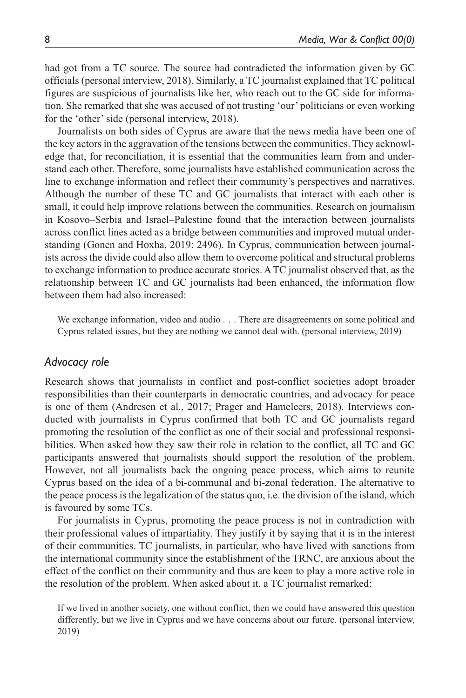had got from a TC source. The source had contradicted the information given by GC officials (personal interview, 2018). Similarly, a TC journalist explained that TC political figures are suspicious of journalists like her, who reach out to the GC side for information. She remarked that she was accused of not trusting 'our' politicians or even working for the 'other' side (personal interview, 2018).

Journalists on both sides of Cyprus are aware that the news media have been one of the key actors in the aggravation of the tensions between the communities. They acknowledge that, for reconciliation, it is essential that the communities learn from and understand each other. Therefore, some journalists have established communication across the line to exchange information and reflect their community's perspectives and narratives. Although the number of these TC and GC journalists that interact with each other is small, it could help improve relations between the communities. Research on journalism in Kosovo–Serbia and Israel–Palestine found that the interaction between journalists across conflict lines acted as a bridge between communities and improved mutual understanding (Gonen and Hoxha, 2019: 2496). In Cyprus, communication between journalists across the divide could also allow them to overcome political and structural problems to exchange information to produce accurate stories. A TC journalist observed that, as the relationship between TC and GC journalists had been enhanced, the information flow between them had also increased:

We exchange information, video and audio . . . There are disagreements on some political and Cyprus related issues, but they are nothing we cannot deal with. (personal interview, 2019)

#### *Advocacy role*

Research shows that journalists in conflict and post-conflict societies adopt broader responsibilities than their counterparts in democratic countries, and advocacy for peace is one of them (Andresen et al., 2017; Prager and Hameleers, 2018). Interviews conducted with journalists in Cyprus confirmed that both TC and GC journalists regard promoting the resolution of the conflict as one of their social and professional responsibilities. When asked how they saw their role in relation to the conflict, all TC and GC participants answered that journalists should support the resolution of the problem. However, not all journalists back the ongoing peace process, which aims to reunite Cyprus based on the idea of a bi-communal and bi-zonal federation. The alternative to the peace process is the legalization of the status quo, i.e. the division of the island, which is favoured by some TCs.

For journalists in Cyprus, promoting the peace process is not in contradiction with their professional values of impartiality. They justify it by saying that it is in the interest of their communities. TC journalists, in particular, who have lived with sanctions from the international community since the establishment of the TRNC, are anxious about the effect of the conflict on their community and thus are keen to play a more active role in the resolution of the problem. When asked about it, a TC journalist remarked:

If we lived in another society, one without conflict, then we could have answered this question differently, but we live in Cyprus and we have concerns about our future. (personal interview, 2019)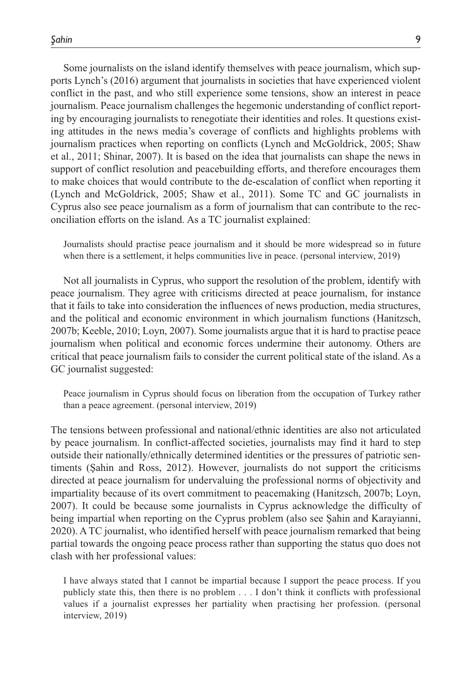Some journalists on the island identify themselves with peace journalism, which supports Lynch's (2016) argument that journalists in societies that have experienced violent conflict in the past, and who still experience some tensions, show an interest in peace journalism. Peace journalism challenges the hegemonic understanding of conflict reporting by encouraging journalists to renegotiate their identities and roles. It questions existing attitudes in the news media's coverage of conflicts and highlights problems with journalism practices when reporting on conflicts (Lynch and McGoldrick, 2005; Shaw et al., 2011; Shinar, 2007). It is based on the idea that journalists can shape the news in support of conflict resolution and peacebuilding efforts, and therefore encourages them to make choices that would contribute to the de-escalation of conflict when reporting it (Lynch and McGoldrick, 2005; Shaw et al., 2011). Some TC and GC journalists in Cyprus also see peace journalism as a form of journalism that can contribute to the reconciliation efforts on the island. As a TC journalist explained:

Journalists should practise peace journalism and it should be more widespread so in future when there is a settlement, it helps communities live in peace. (personal interview, 2019)

Not all journalists in Cyprus, who support the resolution of the problem, identify with peace journalism. They agree with criticisms directed at peace journalism, for instance that it fails to take into consideration the influences of news production, media structures, and the political and economic environment in which journalism functions (Hanitzsch, 2007b; Keeble, 2010; Loyn, 2007). Some journalists argue that it is hard to practise peace journalism when political and economic forces undermine their autonomy. Others are critical that peace journalism fails to consider the current political state of the island. As a GC journalist suggested:

Peace journalism in Cyprus should focus on liberation from the occupation of Turkey rather than a peace agreement. (personal interview, 2019)

The tensions between professional and national/ethnic identities are also not articulated by peace journalism. In conflict-affected societies, journalists may find it hard to step outside their nationally/ethnically determined identities or the pressures of patriotic sentiments (Şahin and Ross, 2012). However, journalists do not support the criticisms directed at peace journalism for undervaluing the professional norms of objectivity and impartiality because of its overt commitment to peacemaking (Hanitzsch, 2007b; Loyn, 2007). It could be because some journalists in Cyprus acknowledge the difficulty of being impartial when reporting on the Cyprus problem (also see Şahin and Karayianni, 2020). A TC journalist, who identified herself with peace journalism remarked that being partial towards the ongoing peace process rather than supporting the status quo does not clash with her professional values:

I have always stated that I cannot be impartial because I support the peace process. If you publicly state this, then there is no problem . . . I don't think it conflicts with professional values if a journalist expresses her partiality when practising her profession. (personal interview, 2019)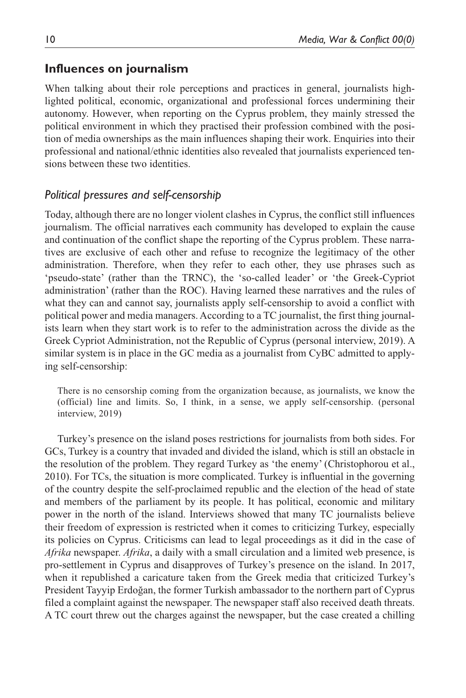## **Influences on journalism**

When talking about their role perceptions and practices in general, journalists highlighted political, economic, organizational and professional forces undermining their autonomy. However, when reporting on the Cyprus problem, they mainly stressed the political environment in which they practised their profession combined with the position of media ownerships as the main influences shaping their work. Enquiries into their professional and national/ethnic identities also revealed that journalists experienced tensions between these two identities.

## *Political pressures and self-censorship*

Today, although there are no longer violent clashes in Cyprus, the conflict still influences journalism. The official narratives each community has developed to explain the cause and continuation of the conflict shape the reporting of the Cyprus problem. These narratives are exclusive of each other and refuse to recognize the legitimacy of the other administration. Therefore, when they refer to each other, they use phrases such as 'pseudo-state' (rather than the TRNC), the 'so-called leader' or 'the Greek-Cypriot administration' (rather than the ROC). Having learned these narratives and the rules of what they can and cannot say, journalists apply self-censorship to avoid a conflict with political power and media managers. According to a TC journalist, the first thing journalists learn when they start work is to refer to the administration across the divide as the Greek Cypriot Administration, not the Republic of Cyprus (personal interview, 2019). A similar system is in place in the GC media as a journalist from CyBC admitted to applying self-censorship:

There is no censorship coming from the organization because, as journalists, we know the (official) line and limits. So, I think, in a sense, we apply self-censorship. (personal interview, 2019)

Turkey's presence on the island poses restrictions for journalists from both sides. For GCs, Turkey is a country that invaded and divided the island, which is still an obstacle in the resolution of the problem. They regard Turkey as 'the enemy' (Christophorou et al., 2010). For TCs, the situation is more complicated. Turkey is influential in the governing of the country despite the self-proclaimed republic and the election of the head of state and members of the parliament by its people. It has political, economic and military power in the north of the island. Interviews showed that many TC journalists believe their freedom of expression is restricted when it comes to criticizing Turkey, especially its policies on Cyprus. Criticisms can lead to legal proceedings as it did in the case of *Afrika* newspaper. *Afrika*, a daily with a small circulation and a limited web presence, is pro-settlement in Cyprus and disapproves of Turkey's presence on the island. In 2017, when it republished a caricature taken from the Greek media that criticized Turkey's President Tayyip Erdoğan, the former Turkish ambassador to the northern part of Cyprus filed a complaint against the newspaper. The newspaper staff also received death threats. A TC court threw out the charges against the newspaper, but the case created a chilling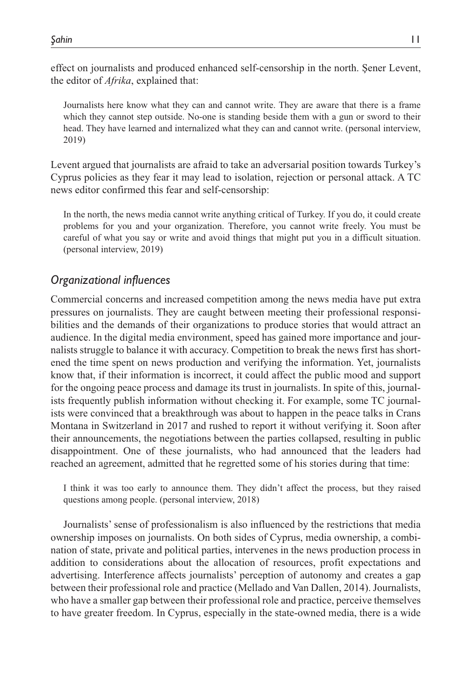effect on journalists and produced enhanced self-censorship in the north. Şener Levent, the editor of *Afrika*, explained that:

Journalists here know what they can and cannot write. They are aware that there is a frame which they cannot step outside. No-one is standing beside them with a gun or sword to their head. They have learned and internalized what they can and cannot write. (personal interview, 2019)

Levent argued that journalists are afraid to take an adversarial position towards Turkey's Cyprus policies as they fear it may lead to isolation, rejection or personal attack. A TC news editor confirmed this fear and self-censorship:

In the north, the news media cannot write anything critical of Turkey. If you do, it could create problems for you and your organization. Therefore, you cannot write freely. You must be careful of what you say or write and avoid things that might put you in a difficult situation. (personal interview, 2019)

# *Organizational influences*

Commercial concerns and increased competition among the news media have put extra pressures on journalists. They are caught between meeting their professional responsibilities and the demands of their organizations to produce stories that would attract an audience. In the digital media environment, speed has gained more importance and journalists struggle to balance it with accuracy. Competition to break the news first has shortened the time spent on news production and verifying the information. Yet, journalists know that, if their information is incorrect, it could affect the public mood and support for the ongoing peace process and damage its trust in journalists. In spite of this, journalists frequently publish information without checking it. For example, some TC journalists were convinced that a breakthrough was about to happen in the peace talks in Crans Montana in Switzerland in 2017 and rushed to report it without verifying it. Soon after their announcements, the negotiations between the parties collapsed, resulting in public disappointment. One of these journalists, who had announced that the leaders had reached an agreement, admitted that he regretted some of his stories during that time:

I think it was too early to announce them. They didn't affect the process, but they raised questions among people. (personal interview, 2018)

Journalists' sense of professionalism is also influenced by the restrictions that media ownership imposes on journalists. On both sides of Cyprus, media ownership, a combination of state, private and political parties, intervenes in the news production process in addition to considerations about the allocation of resources, profit expectations and advertising. Interference affects journalists' perception of autonomy and creates a gap between their professional role and practice (Mellado and Van Dallen, 2014). Journalists, who have a smaller gap between their professional role and practice, perceive themselves to have greater freedom. In Cyprus, especially in the state-owned media, there is a wide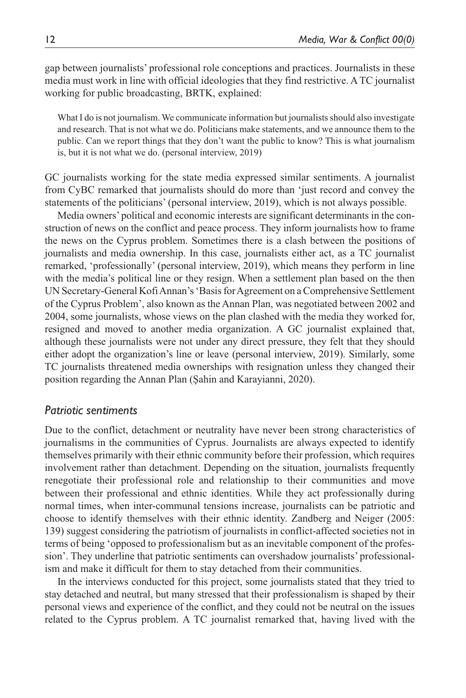gap between journalists' professional role conceptions and practices. Journalists in these media must work in line with official ideologies that they find restrictive. A TC journalist working for public broadcasting, BRTK, explained:

What I do is not journalism. We communicate information but journalists should also investigate and research. That is not what we do. Politicians make statements, and we announce them to the public. Can we report things that they don't want the public to know? This is what journalism is, but it is not what we do. (personal interview, 2019)

GC journalists working for the state media expressed similar sentiments. A journalist from CyBC remarked that journalists should do more than 'just record and convey the statements of the politicians' (personal interview, 2019), which is not always possible.

Media owners' political and economic interests are significant determinants in the construction of news on the conflict and peace process. They inform journalists how to frame the news on the Cyprus problem. Sometimes there is a clash between the positions of journalists and media ownership. In this case, journalists either act, as a TC journalist remarked, 'professionally' (personal interview, 2019), which means they perform in line with the media's political line or they resign. When a settlement plan based on the then UN Secretary-General Kofi Annan's 'Basis for Agreement on a Comprehensive Settlement of the Cyprus Problem', also known as the Annan Plan, was negotiated between 2002 and 2004, some journalists, whose views on the plan clashed with the media they worked for, resigned and moved to another media organization. A GC journalist explained that, although these journalists were not under any direct pressure, they felt that they should either adopt the organization's line or leave (personal interview, 2019). Similarly, some TC journalists threatened media ownerships with resignation unless they changed their position regarding the Annan Plan (Şahin and Karayianni, 2020).

#### *Patriotic sentiments*

Due to the conflict, detachment or neutrality have never been strong characteristics of journalisms in the communities of Cyprus. Journalists are always expected to identify themselves primarily with their ethnic community before their profession, which requires involvement rather than detachment. Depending on the situation, journalists frequently renegotiate their professional role and relationship to their communities and move between their professional and ethnic identities. While they act professionally during normal times, when inter-communal tensions increase, journalists can be patriotic and choose to identify themselves with their ethnic identity. Zandberg and Neiger (2005: 139) suggest considering the patriotism of journalists in conflict-affected societies not in terms of being 'opposed to professionalism but as an inevitable component of the profession'. They underline that patriotic sentiments can overshadow journalists' professionalism and make it difficult for them to stay detached from their communities.

In the interviews conducted for this project, some journalists stated that they tried to stay detached and neutral, but many stressed that their professionalism is shaped by their personal views and experience of the conflict, and they could not be neutral on the issues related to the Cyprus problem. A TC journalist remarked that, having lived with the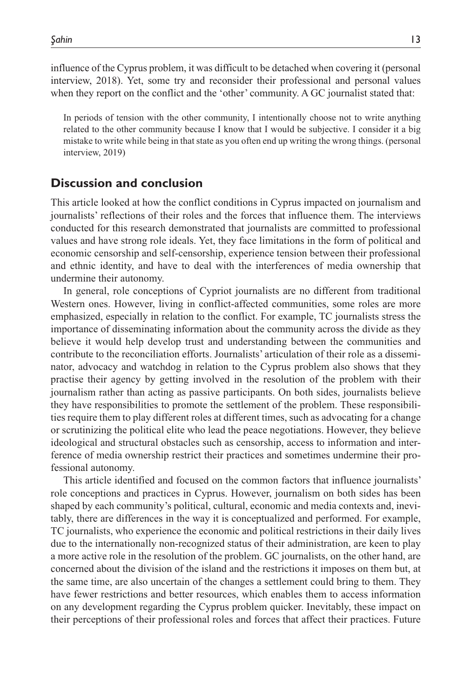influence of the Cyprus problem, it was difficult to be detached when covering it (personal interview, 2018). Yet, some try and reconsider their professional and personal values when they report on the conflict and the 'other' community. A GC journalist stated that:

In periods of tension with the other community, I intentionally choose not to write anything related to the other community because I know that I would be subjective. I consider it a big mistake to write while being in that state as you often end up writing the wrong things. (personal interview, 2019)

### **Discussion and conclusion**

This article looked at how the conflict conditions in Cyprus impacted on journalism and journalists' reflections of their roles and the forces that influence them. The interviews conducted for this research demonstrated that journalists are committed to professional values and have strong role ideals. Yet, they face limitations in the form of political and economic censorship and self-censorship, experience tension between their professional and ethnic identity, and have to deal with the interferences of media ownership that undermine their autonomy.

In general, role conceptions of Cypriot journalists are no different from traditional Western ones. However, living in conflict-affected communities, some roles are more emphasized, especially in relation to the conflict. For example, TC journalists stress the importance of disseminating information about the community across the divide as they believe it would help develop trust and understanding between the communities and contribute to the reconciliation efforts. Journalists' articulation of their role as a disseminator, advocacy and watchdog in relation to the Cyprus problem also shows that they practise their agency by getting involved in the resolution of the problem with their journalism rather than acting as passive participants. On both sides, journalists believe they have responsibilities to promote the settlement of the problem. These responsibilities require them to play different roles at different times, such as advocating for a change or scrutinizing the political elite who lead the peace negotiations. However, they believe ideological and structural obstacles such as censorship, access to information and interference of media ownership restrict their practices and sometimes undermine their professional autonomy.

This article identified and focused on the common factors that influence journalists' role conceptions and practices in Cyprus. However, journalism on both sides has been shaped by each community's political, cultural, economic and media contexts and, inevitably, there are differences in the way it is conceptualized and performed. For example, TC journalists, who experience the economic and political restrictions in their daily lives due to the internationally non-recognized status of their administration, are keen to play a more active role in the resolution of the problem. GC journalists, on the other hand, are concerned about the division of the island and the restrictions it imposes on them but, at the same time, are also uncertain of the changes a settlement could bring to them. They have fewer restrictions and better resources, which enables them to access information on any development regarding the Cyprus problem quicker. Inevitably, these impact on their perceptions of their professional roles and forces that affect their practices. Future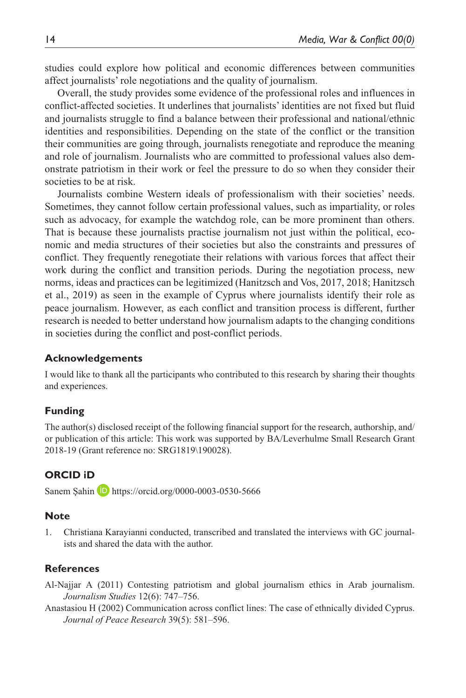studies could explore how political and economic differences between communities affect journalists' role negotiations and the quality of journalism.

Overall, the study provides some evidence of the professional roles and influences in conflict-affected societies. It underlines that journalists' identities are not fixed but fluid and journalists struggle to find a balance between their professional and national/ethnic identities and responsibilities. Depending on the state of the conflict or the transition their communities are going through, journalists renegotiate and reproduce the meaning and role of journalism. Journalists who are committed to professional values also demonstrate patriotism in their work or feel the pressure to do so when they consider their societies to be at risk.

Journalists combine Western ideals of professionalism with their societies' needs. Sometimes, they cannot follow certain professional values, such as impartiality, or roles such as advocacy, for example the watchdog role, can be more prominent than others. That is because these journalists practise journalism not just within the political, economic and media structures of their societies but also the constraints and pressures of conflict. They frequently renegotiate their relations with various forces that affect their work during the conflict and transition periods. During the negotiation process, new norms, ideas and practices can be legitimized (Hanitzsch and Vos, 2017, 2018; Hanitzsch et al., 2019) as seen in the example of Cyprus where journalists identify their role as peace journalism. However, as each conflict and transition process is different, further research is needed to better understand how journalism adapts to the changing conditions in societies during the conflict and post-conflict periods.

#### **Acknowledgements**

I would like to thank all the participants who contributed to this research by sharing their thoughts and experiences.

#### **Funding**

The author(s) disclosed receipt of the following financial support for the research, authorship, and/ or publication of this article: This work was supported by BA/Leverhulme Small Research Grant 2018-19 (Grant reference no: SRG1819\190028).

#### **ORCID iD**

Sanem Şahin **D** <https://orcid.org/0000-0003-0530-5666>

#### **Note**

1. Christiana Karayianni conducted, transcribed and translated the interviews with GC journalists and shared the data with the author.

#### **References**

- Al-Najjar A (2011) Contesting patriotism and global journalism ethics in Arab journalism. *Journalism Studies* 12(6): 747–756.
- Anastasiou H (2002) Communication across conflict lines: The case of ethnically divided Cyprus. *Journal of Peace Research* 39(5): 581–596.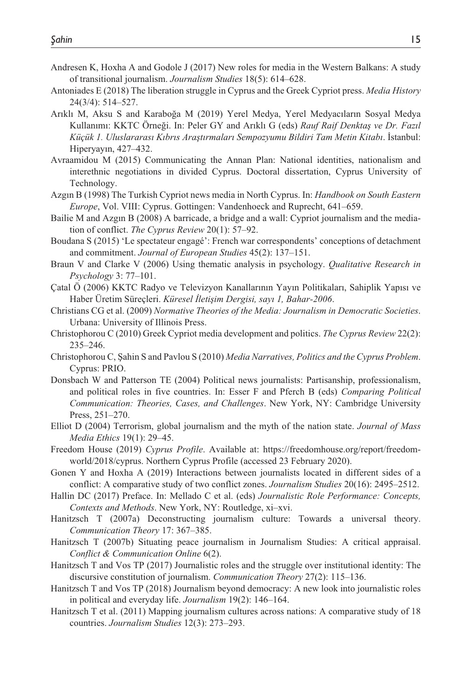- Andresen K, Hoxha A and Godole J (2017) New roles for media in the Western Balkans: A study of transitional journalism. *Journalism Studies* 18(5): 614–628.
- Antoniades E (2018) The liberation struggle in Cyprus and the Greek Cypriot press. *Media History* 24(3/4): 514–527.
- Arıklı M, Aksu S and Karaboğa M (2019) Yerel Medya, Yerel Medyacıların Sosyal Medya Kullanımı: KKTC Örneği. In: Peler GY and Arıklı G (eds) *Rauf Raif Denktaş ve Dr. Fazıl Küçük 1. Uluslararası Kıbrıs Araştırmaları Sempozyumu Bildiri Tam Metin Kitabı*. İstanbul: Hiperyayın, 427–432.
- Avraamidou M (2015) Communicating the Annan Plan: National identities, nationalism and interethnic negotiations in divided Cyprus. Doctoral dissertation, Cyprus University of Technology.
- Azgın B (1998) The Turkish Cypriot news media in North Cyprus. In: *Handbook on South Eastern Europe*, Vol. VIII: Cyprus. Gottingen: Vandenhoeck and Ruprecht, 641–659.
- Bailie M and Azgın B (2008) A barricade, a bridge and a wall: Cypriot journalism and the mediation of conflict. *The Cyprus Review* 20(1): 57–92.
- Boudana S (2015) 'Le spectateur engagé': French war correspondents' conceptions of detachment and commitment. *Journal of European Studies* 45(2): 137–151.
- Braun V and Clarke V (2006) Using thematic analysis in psychology. *Qualitative Research in Psychology* 3: 77–101.
- Çatal Ö (2006) KKTC Radyo ve Televizyon Kanallarının Yayın Politikaları, Sahiplik Yapısı ve Haber Üretim Süreçleri. *Küresel İletişim Dergisi, sayı 1, Bahar-2006*.
- Christians CG et al. (2009) *Normative Theories of the Media: Journalism in Democratic Societies*. Urbana: University of Illinois Press.
- Christophorou C (2010) Greek Cypriot media development and politics. *The Cyprus Review* 22(2): 235–246.
- Christophorou C, Şahin S and Pavlou S (2010) *Media Narratives, Politics and the Cyprus Problem*. Cyprus: PRIO.
- Donsbach W and Patterson TE (2004) Political news journalists: Partisanship, professionalism, and political roles in five countries. In: Esser F and Pferch B (eds) *Comparing Political Communication: Theories, Cases, and Challenges*. New York, NY: Cambridge University Press, 251–270.
- Elliot D (2004) Terrorism, global journalism and the myth of the nation state. *Journal of Mass Media Ethics* 19(1): 29–45.
- Freedom House (2019) *Cyprus Profile*. Available at: [https://freedomhouse.org/report/freedom](https://freedomhouse.org/report/freedom-world/2018/cyprus)[world/2018/cyprus](https://freedomhouse.org/report/freedom-world/2018/cyprus). Northern Cyprus Profile (accessed 23 February 2020).
- Gonen Y and Hoxha A (2019) Interactions between journalists located in different sides of a conflict: A comparative study of two conflict zones. *Journalism Studies* 20(16): 2495–2512.
- Hallin DC (2017) Preface. In: Mellado C et al. (eds) *Journalistic Role Performance: Concepts, Contexts and Methods*. New York, NY: Routledge, xi–xvi.
- Hanitzsch T (2007a) Deconstructing journalism culture: Towards a universal theory. *Communication Theory* 17: 367–385.
- Hanitzsch T (2007b) Situating peace journalism in Journalism Studies: A critical appraisal. *Conflict & Communication Online* 6(2).
- Hanitzsch T and Vos TP (2017) Journalistic roles and the struggle over institutional identity: The discursive constitution of journalism. *Communication Theory* 27(2): 115–136.
- Hanitzsch T and Vos TP (2018) Journalism beyond democracy: A new look into journalistic roles in political and everyday life. *Journalism* 19(2): 146–164.
- Hanitzsch T et al. (2011) Mapping journalism cultures across nations: A comparative study of 18 countries. *Journalism Studies* 12(3): 273–293.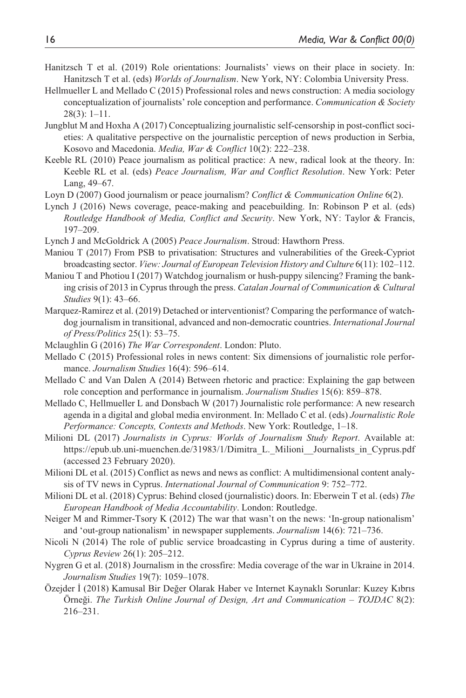- Hanitzsch T et al. (2019) Role orientations: Journalists' views on their place in society. In: Hanitzsch T et al. (eds) *Worlds of Journalism*. New York, NY: Colombia University Press.
- Hellmueller L and Mellado C (2015) Professional roles and news construction: A media sociology conceptualization of journalists' role conception and performance. *Communication & Society* 28(3): 1–11.
- Jungblut M and Hoxha A (2017) Conceptualizing journalistic self-censorship in post-conflict societies: A qualitative perspective on the journalistic perception of news production in Serbia, Kosovo and Macedonia. *Media, War & Conflict* 10(2): 222–238.
- Keeble RL (2010) Peace journalism as political practice: A new, radical look at the theory. In: Keeble RL et al. (eds) *Peace Journalism, War and Conflict Resolution*. New York: Peter Lang, 49–67.
- Loyn D (2007) Good journalism or peace journalism? *Conflict & Communication Online* 6(2).
- Lynch J (2016) News coverage, peace-making and peacebuilding. In: Robinson P et al. (eds) *Routledge Handbook of Media, Conflict and Security*. New York, NY: Taylor & Francis, 197–209.
- Lynch J and McGoldrick A (2005) *Peace Journalism*. Stroud: Hawthorn Press.
- Maniou T (2017) From PSB to privatisation: Structures and vulnerabilities of the Greek-Cypriot broadcasting sector. *View: Journal of European Television History and Culture* 6(11): 102–112.
- Maniou T and Photiou I (2017) Watchdog journalism or hush-puppy silencing? Framing the banking crisis of 2013 in Cyprus through the press. *Catalan Journal of Communication & Cultural Studies* 9(1): 43–66.
- Marquez-Ramirez et al. (2019) Detached or interventionist? Comparing the performance of watchdog journalism in transitional, advanced and non-democratic countries. *International Journal of Press/Politics* 25(1): 53–75.
- Mclaughlin G (2016) *The War Correspondent*. London: Pluto.
- Mellado C (2015) Professional roles in news content: Six dimensions of journalistic role performance. *Journalism Studies* 16(4): 596–614.
- Mellado C and Van Dalen A (2014) Between rhetoric and practice: Explaining the gap between role conception and performance in journalism. *Journalism Studies* 15(6): 859–878.
- Mellado C, Hellmueller L and Donsbach W (2017) Journalistic role performance: A new research agenda in a digital and global media environment. In: Mellado C et al. (eds) *Journalistic Role Performance: Concepts, Contexts and Methods*. New York: Routledge, 1–18.
- Milioni DL (2017) *Journalists in Cyprus: Worlds of Journalism Study Report*. Available at: https://epub.ub.uni-muenchen.de/31983/1/Dimitra L. Milioni Journalists in Cyprus.pdf (accessed 23 February 2020).
- Milioni DL et al. (2015) Conflict as news and news as conflict: A multidimensional content analysis of TV news in Cyprus. *International Journal of Communication* 9: 752–772.
- Milioni DL et al. (2018) Cyprus: Behind closed (journalistic) doors. In: Eberwein T et al. (eds) *The European Handbook of Media Accountability*. London: Routledge.
- Neiger M and Rimmer-Tsory K (2012) The war that wasn't on the news: 'In-group nationalism' and 'out-group nationalism' in newspaper supplements. *Journalism* 14(6): 721–736.
- Nicoli N (2014) The role of public service broadcasting in Cyprus during a time of austerity. *Cyprus Review* 26(1): 205–212.
- Nygren G et al. (2018) Journalism in the crossfire: Media coverage of the war in Ukraine in 2014. *Journalism Studies* 19(7): 1059–1078.
- Özejder İ (2018) Kamusal Bir Değer Olarak Haber ve Internet Kaynaklı Sorunlar: Kuzey Kıbrıs Örneği. *The Turkish Online Journal of Design, Art and Communication – TOJDAC* 8(2): 216–231.